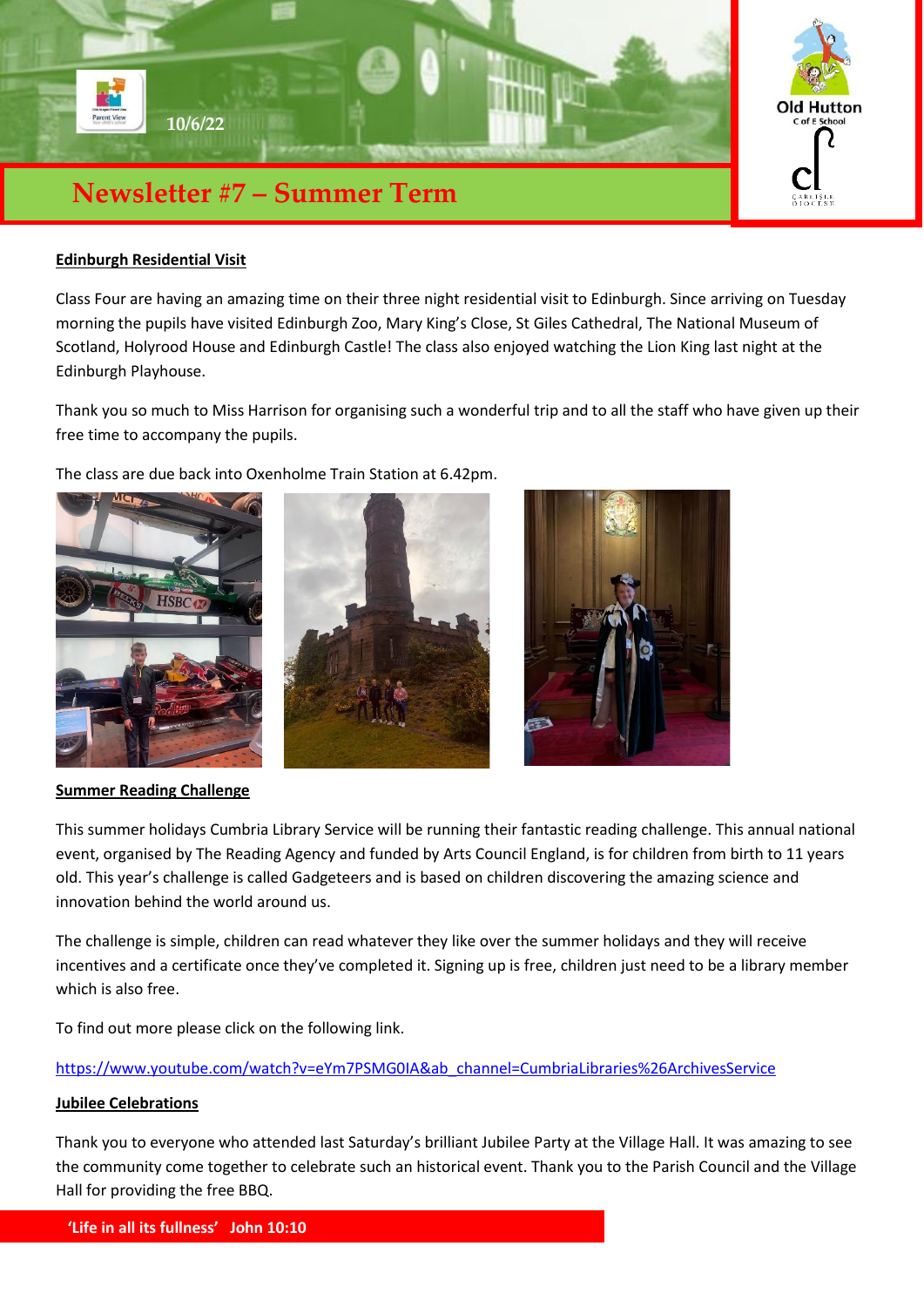

### **Edinburgh Residential Visit**

Class Four are having an amazing time on their three night residential visit to Edinburgh. Since arriving on Tuesday morning the pupils have visited Edinburgh Zoo, Mary King's Close, St Giles Cathedral, The National Museum of Scotland, Holyrood House and Edinburgh Castle! The class also enjoyed watching the Lion King last night at the Edinburgh Playhouse.

Thank you so much to Miss Harrison for organising such a wonderful trip and to all the staff who have given up their free time to accompany the pupils.

The class are due back into Oxenholme Train Station at 6.42pm.







#### **Summer Reading Challenge**

This summer holidays Cumbria Library Service will be running their fantastic reading challenge. This annual national event, organised by The Reading Agency and funded by Arts Council England, is for children from birth to 11 years old. This year's challenge is called Gadgeteers and is based on children discovering the amazing science and innovation behind the world around us.

The challenge is simple, children can read whatever they like over the summer holidays and they will receive incentives and a certificate once they've completed it. Signing up is free, children just need to be a library member which is also free.

To find out more please click on the following link.

## [https://www.youtube.com/watch?v=eYm7PSMG0IA&ab\\_channel=CumbriaLibraries%26ArchivesService](https://www.youtube.com/watch?v=eYm7PSMG0IA&ab_channel=CumbriaLibraries%26ArchivesService)

### **Jubilee Celebrations**

Thank you to everyone who attended last Saturday's brilliant Jubilee Party at the Village Hall. It was amazing to see the community come together to celebrate such an historical event. Thank you to the Parish Council and the Village Hall for providing the free BBQ.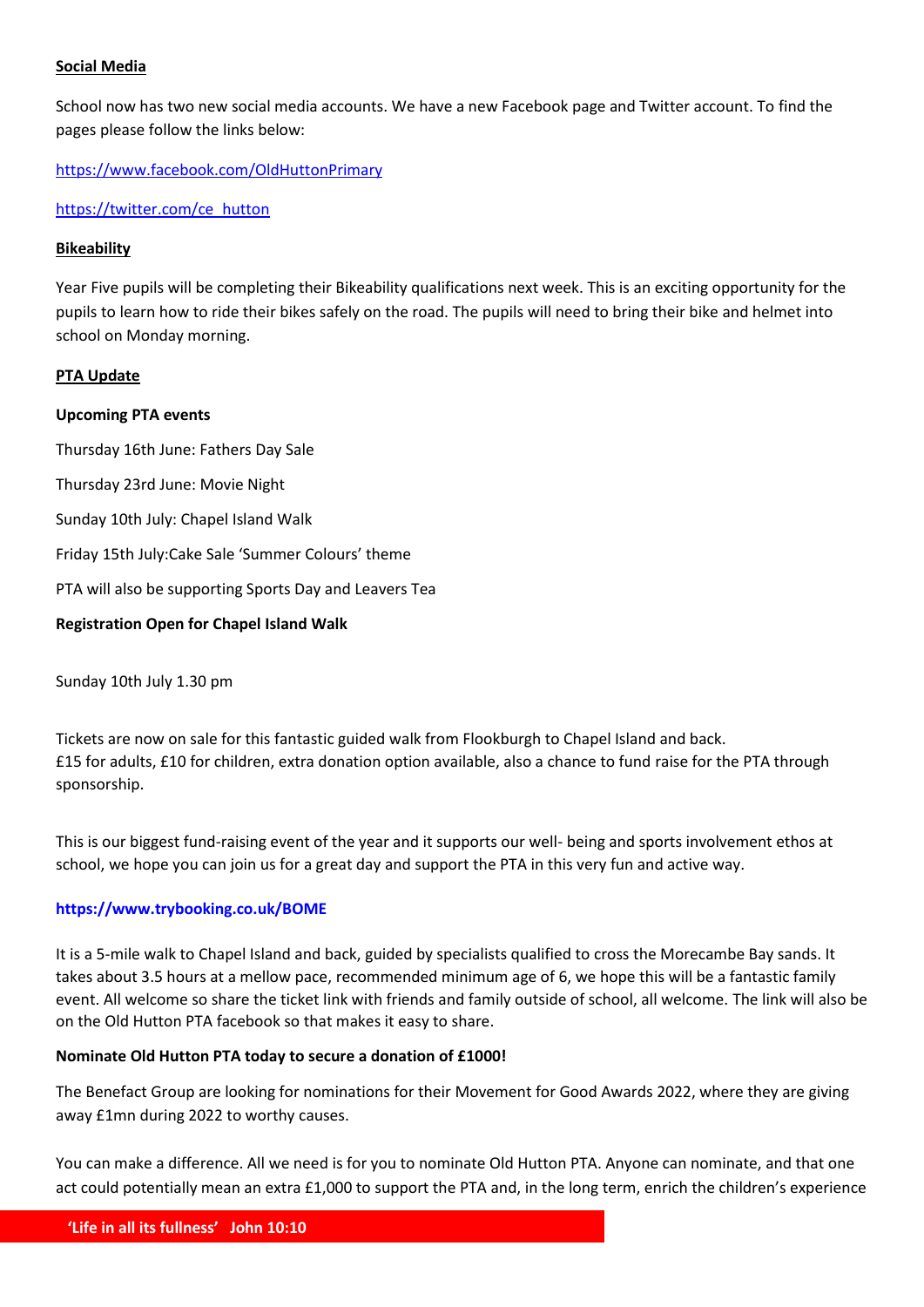# **Social Media**

School now has two new social media accounts. We have a new Facebook page and Twitter account. To find the pages please follow the links below:

<https://www.facebook.com/OldHuttonPrimary>

[https://twitter.com/ce\\_hutton](https://twitter.com/ce_hutton)

# **Bikeability**

Year Five pupils will be completing their Bikeability qualifications next week. This is an exciting opportunity for the pupils to learn how to ride their bikes safely on the road. The pupils will need to bring their bike and helmet into school on Monday morning.

# **PTA Update**

### **Upcoming PTA events**

Thursday 16th June: Fathers Day Sale Thursday 23rd June: Movie Night Sunday 10th July: Chapel Island Walk Friday 15th July:Cake Sale 'Summer Colours' theme PTA will also be supporting Sports Day and Leavers Tea **Registration Open for Chapel Island Walk**

Sunday 10th July 1.30 pm

Tickets are now on sale for this fantastic guided walk from Flookburgh to Chapel Island and back. £15 for adults, £10 for children, extra donation option available, also a chance to fund raise for the PTA through sponsorship.

This is our biggest fund-raising event of the year and it supports our well- being and sports involvement ethos at school, we hope you can join us for a great day and support the PTA in this very fun and active way.

### **<https://www.trybooking.co.uk/BOME>**

It is a 5-mile walk to Chapel Island and back, guided by specialists qualified to cross the Morecambe Bay sands. It takes about 3.5 hours at a mellow pace, recommended minimum age of 6, we hope this will be a fantastic family event. All welcome so share the ticket link with friends and family outside of school, all welcome. The link will also be on the Old Hutton PTA facebook so that makes it easy to share.

### **Nominate Old Hutton PTA today to secure a donation of £1000!**

The Benefact Group are looking for nominations for their Movement for Good Awards 2022, where they are giving away £1mn during 2022 to worthy causes.

You can make a difference. All we need is for you to nominate Old Hutton PTA. Anyone can nominate, and that one act could potentially mean an extra £1,000 to support the PTA and, in the long term, enrich the children's experience